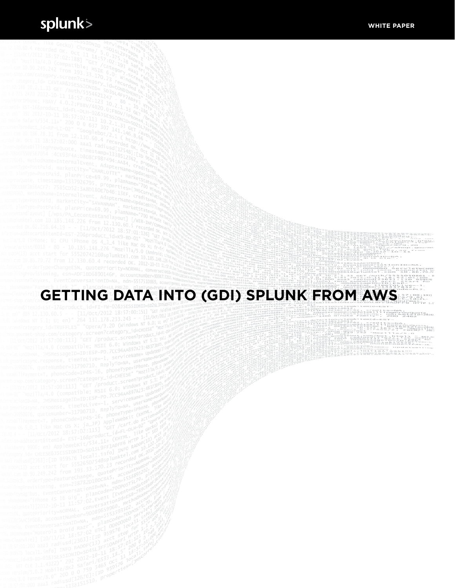$-57.022$ 

18금급 Wrappe<br>18금급 : 70,72

91823

# **GETTING DATA INTO (GDI) SPLUNK FROM AWS**

ngProySuote,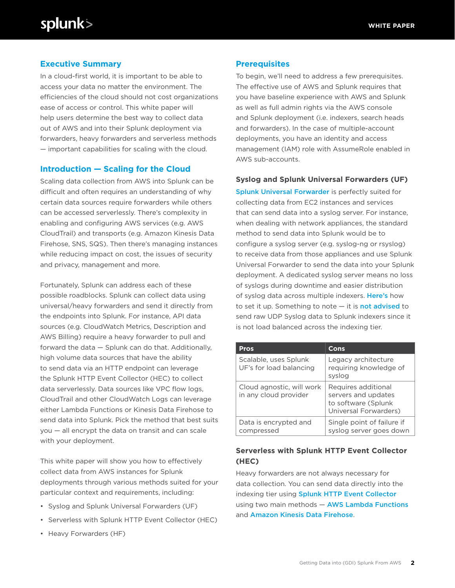# **Executive Summary**

In a cloud-first world, it is important to be able to access your data no matter the environment. The efficiencies of the cloud should not cost organizations ease of access or control. This white paper will help users determine the best way to collect data out of AWS and into their Splunk deployment via forwarders, heavy forwarders and serverless methods — important capabilities for scaling with the cloud.

### **Introduction — Scaling for the Cloud**

Scaling data collection from AWS into Splunk can be difficult and often requires an understanding of why certain data sources require forwarders while others can be accessed serverlessly. There's complexity in enabling and configuring AWS services (e.g. AWS CloudTrail) and transports (e.g. Amazon Kinesis Data Firehose, SNS, SQS). Then there's managing instances while reducing impact on cost, the issues of security and privacy, management and more.

Fortunately, Splunk can address each of these possible roadblocks. Splunk can collect data using universal/heavy forwarders and send it directly from the endpoints into Splunk. For instance, API data sources (e.g. CloudWatch Metrics, Description and AWS Billing) require a heavy forwarder to pull and forward the data — Splunk can do that. Additionally, high volume data sources that have the ability to send data via an HTTP endpoint can leverage the Splunk HTTP Event Collector (HEC) to collect data serverlessly. Data sources like VPC flow logs, CloudTrail and other CloudWatch Logs can leverage either Lambda Functions or Kinesis Data Firehose to send data into Splunk. Pick the method that best suits you — all encrypt the data on transit and can scale with your deployment.

This white paper will show you how to effectively collect data from AWS instances for Splunk deployments through various methods suited for your particular context and requirements, including:

- Syslog and Splunk Universal Forwarders (UF)
- Serverless with Splunk HTTP Event Collector (HEC)
- Heavy Forwarders (HF)

#### **Prerequisites**

To begin, we'll need to address a few prerequisites. The effective use of AWS and Splunk requires that you have baseline experience with AWS and Splunk as well as full admin rights via the AWS console and Splunk deployment (i.e. indexers, search heads and forwarders). In the case of multiple-account deployments, you have an identity and access management (IAM) role with AssumeRole enabled in AWS sub-accounts.

#### **Syslog and Splunk Universal Forwarders (UF)**

[Splunk Universal Forwarder](http://docs.splunk.com/Documentation/Forwarder/7.1.1/Forwarder/Abouttheuniversalforwarder) is perfectly suited for collecting data from EC2 instances and services that can send data into a syslog server. For instance, when dealing with network appliances, the standard method to send data into Splunk would be to configure a syslog server (e.g. syslog-ng or rsyslog) to receive data from those appliances and use Splunk Universal Forwarder to send the data into your Splunk deployment. A dedicated syslog server means no loss of syslogs during downtime and easier distribution of syslog data across multiple indexers. [Here's](https://www.splunk.com/blog/2016/03/11/using-syslog-ng-with-splunk.html) how to set it up. Something to note  $-$  it is **[not advised](https://docs.splunk.com/Documentation/Splunk/7.1.1/Data/HowSplunkEnterprisehandlessyslogdata)** to send raw UDP Syslog data to Splunk indexers since it is not load balanced across the indexing tier.

| <b>Pros</b>                                        | Cons                                                                                       |
|----------------------------------------------------|--------------------------------------------------------------------------------------------|
| Scalable, uses Splunk<br>UF's for load balancing   | Legacy architecture<br>requiring knowledge of<br>syslog                                    |
| Cloud agnostic, will work<br>in any cloud provider | Requires additional<br>servers and updates<br>to software (Splunk<br>Universal Forwarders) |
| Data is encrypted and<br>compressed                | Single point of failure if<br>syslog server goes down                                      |

# **Serverless with Splunk HTTP Event Collector (HEC)**

Heavy forwarders are not always necessary for data collection. You can send data directly into the indexing tier using [Splunk HTTP Event Collector](http://dev.splunk.com/view/event-collector/SP-CAAAE6M) using two main methods - [AWS Lambda Functions](https://aws.amazon.com/lambda/) and [Amazon Kinesis Data Firehose](https://aws.amazon.com/kinesis/data-firehose/).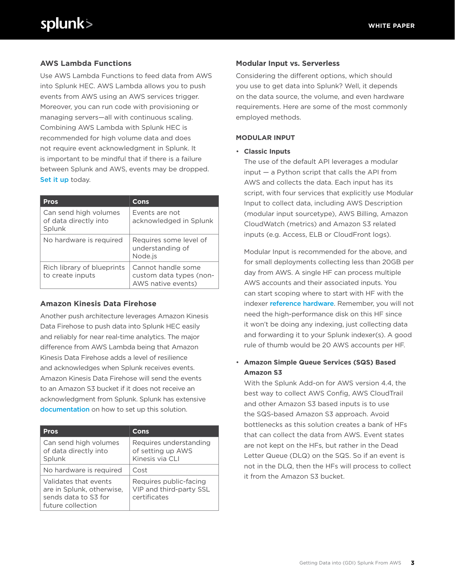# **AWS Lambda Functions**

Use AWS Lambda Functions to feed data from AWS into Splunk HEC. AWS Lambda allows you to push events from AWS using an AWS services trigger. Moreover, you can run code with provisioning or managing servers—all with continuous scaling. Combining AWS Lambda with Splunk HEC is recommended for high volume data and does not require event acknowledgment in Splunk. It is important to be mindful that if there is a failure between Splunk and AWS, events may be dropped. [Set it up](https://www.splunk.com/blog/2017/02/03/how-to-easily-stream-aws-cloudwatch-logs-to-splunk.html) today.

| <b>Pros</b>                                              | Cons                                                                |
|----------------------------------------------------------|---------------------------------------------------------------------|
| Can send high volumes<br>of data directly into<br>Splunk | Fvents are not<br>acknowledged in Splunk                            |
| No hardware is required                                  | Requires some level of<br>understanding of<br>Node.js               |
| Rich library of blueprints<br>to create inputs           | Cannot handle some<br>custom data types (non-<br>AWS native events) |

#### **Amazon Kinesis Data Firehose**

Another push architecture leverages Amazon Kinesis Data Firehose to push data into Splunk HEC easily and reliably for near real-time analytics. The major difference from AWS Lambda being that Amazon Kinesis Data Firehose adds a level of resilience and acknowledges when Splunk receives events. Amazon Kinesis Data Firehose will send the events to an Amazon S3 bucket if it does not receive an acknowledgment from Splunk. Splunk has extensive [documentation](https://docs.splunk.com/Documentation/AddOns/released/Firehose/ConfigureFirehose) on how to set up this solution.

| <b>Pros</b>                                                                                     | Cons                                                              |
|-------------------------------------------------------------------------------------------------|-------------------------------------------------------------------|
| Can send high volumes<br>of data directly into<br>Splunk                                        | Requires understanding<br>of setting up AWS<br>Kinesis via CLI    |
| No hardware is required                                                                         | Cost                                                              |
| Validates that events<br>are in Splunk, otherwise,<br>sends data to S3 for<br>future collection | Requires public-facing<br>VIP and third-party SSL<br>certificates |

## **Modular Input vs. Serverless**

Considering the different options, which should you use to get data into Splunk? Well, it depends on the data source, the volume, and even hardware requirements. Here are some of the most commonly employed methods.

### **MODULAR INPUT**

• **Classic Inputs**

The use of the default API leverages a modular input — a Python script that calls the API from AWS and collects the data. Each input has its script, with four services that explicitly use Modular Input to collect data, including AWS Description (modular input sourcetype), AWS Billing, Amazon CloudWatch (metrics) and Amazon S3 related inputs (e.g. Access, ELB or CloudFront logs).

Modular Input is recommended for the above, and for small deployments collecting less than 20GB per day from AWS. A single HF can process multiple AWS accounts and their associated inputs. You can start scoping where to start with HF with the indexer [reference hardware](http://docs.splunk.com/Documentation/Splunk/7.1.1/Capacity/Referencehardware). Remember, you will not need the high-performance disk on this HF since it won't be doing any indexing, just collecting data and forwarding it to your Splunk indexer(s). A good rule of thumb would be 20 AWS accounts per HF.

# • **Amazon Simple Queue Services (SQS) Based Amazon S3**

With the Splunk Add-on for AWS version 4.4, the best way to collect AWS Config, AWS CloudTrail and other Amazon S3 based inputs is to use the SQS-based Amazon S3 approach. Avoid bottlenecks as this solution creates a bank of HFs that can collect the data from AWS. Event states are not kept on the HFs, but rather in the Dead Letter Queue (DLQ) on the SQS. So if an event is not in the DLQ, then the HFs will process to collect it from the Amazon S3 bucket.